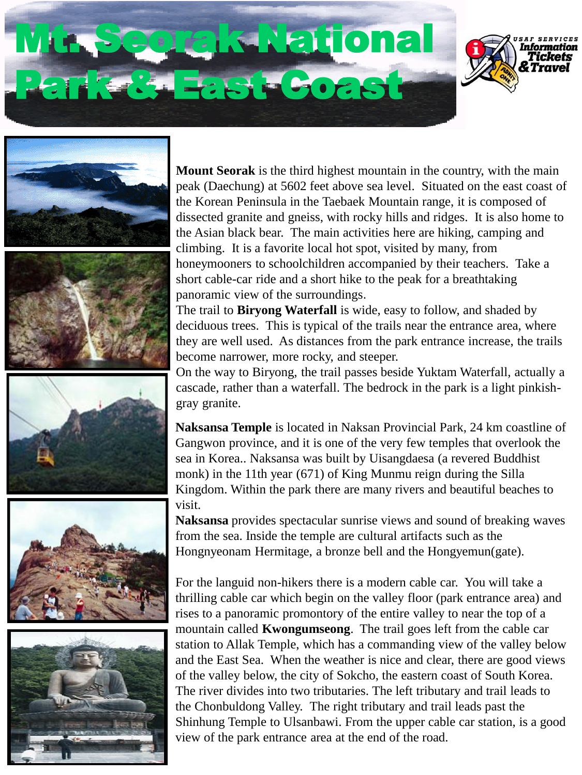# Seorak National Park & East Coast













**Mount Seorak** is the third highest mountain in the country, with the main peak (Daechung) at 5602 feet above sea level. Situated on the east coast of the Korean Peninsula in the Taebaek Mountain range, it is composed of dissected granite and gneiss, with rocky hills and ridges. It is also home to the Asian black bear. The main activities here are hiking, camping and climbing. It is a favorite local hot spot, visited by many, from honeymooners to schoolchildren accompanied by their teachers. Take a short cable-car ride and a short hike to the peak for a breathtaking panoramic view of the surroundings.

The trail to **Biryong Waterfall** is wide, easy to follow, and shaded by deciduous trees. This is typical of the trails near the entrance area, where they are well used. As distances from the park entrance increase, the trails become narrower, more rocky, and steeper.

On the way to Biryong, the trail passes beside Yuktam Waterfall, actually a cascade, rather than a waterfall. The bedrock in the park is a light pinkishgray granite.

**Naksansa Temple** is located in Naksan Provincial Park, 24 km coastline of Gangwon province, and it is one of the very few temples that overlook the sea in Korea.. Naksansa was built by Uisangdaesa (a revered Buddhist monk) in the 11th year (671) of King Munmu reign during the Silla Kingdom. Within the park there are many rivers and beautiful beaches to visit.

**Naksansa** provides spectacular sunrise views and sound of breaking waves from the sea. Inside the temple are cultural artifacts such as the Hongnyeonam Hermitage, a bronze bell and the Hongyemun(gate).

For the languid non-hikers there is a modern cable car. You will take a thrilling cable car which begin on the valley floor (park entrance area) and rises to a panoramic promontory of the entire valley to near the top of a mountain called **Kwongumseong**. The trail goes left from the cable car station to Allak Temple, which has a commanding view of the valley below and the East Sea. When the weather is nice and clear, there are good views of the valley below, the city of Sokcho, the eastern coast of South Korea. The river divides into two tributaries. The left tributary and trail leads to the Chonbuldong Valley. The right tributary and trail leads past the Shinhung Temple to Ulsanbawi. From the upper cable car station, is a good view of the park entrance area at the end of the road.